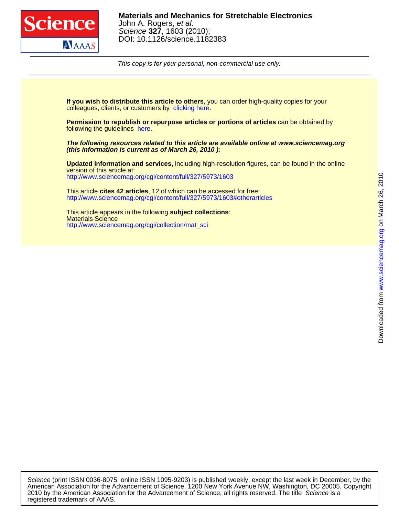

This copy is for your personal, non-commercial use only.

colleagues, clients, or customers by [clicking here.](http://www.sciencemag.org/about/permissions.dtl) **If you wish to distribute this article to others**, you can order high-quality copies for your

following the guidelines [here.](http://www.sciencemag.org/help/about/permissions.dtl) **Permission to republish or repurpose articles or portions of articles** can be obtained by

**(this information is current as of March 26, 2010 ): The following resources related to this article are available online at www.sciencemag.org**

<http://www.sciencemag.org/cgi/content/full/327/5973/1603> version of this article at: **Updated information and services,** including high-resolution figures, can be found in the online

<http://www.sciencemag.org/cgi/content/full/327/5973/1603#otherarticles> This article **cites 42 articles**, 12 of which can be accessed for free:

[http://www.sciencemag.org/cgi/collection/mat\\_sci](http://www.sciencemag.org/cgi/collection/mat_sci) Materials Science This article appears in the following **subject collections**: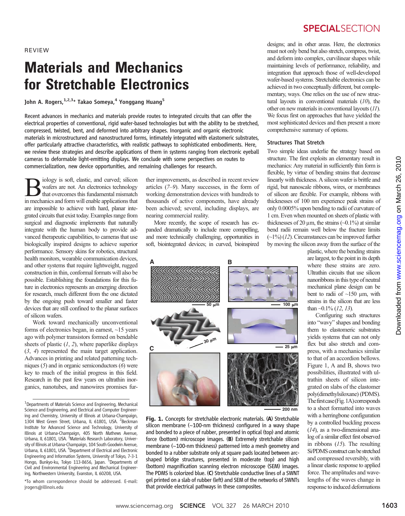REVIEW

# Materials and Mechanics for Stretchable Electronics

John A. Rogers,  $1,2,3*$  Takao Someya, <sup>4</sup> Yonggang Huang<sup>5</sup>

Recent advances in mechanics and materials provide routes to integrated circuits that can offer the electrical properties of conventional, rigid wafer-based technologies but with the ability to be stretched, compressed, twisted, bent, and deformed into arbitrary shapes. Inorganic and organic electronic materials in microstructured and nanostructured forms, intimately integrated with elastomeric substrates, offer particularly attractive characteristics, with realistic pathways to sophisticated embodiments. Here, we review these strategies and describe applications of them in systems ranging from electronic eyeball cameras to deformable light-emitting displays. We conclude with some perspectives on routes to commercialization, new device opportunities, and remaining challenges for research.

Biology is soft, elastic, and curved; silicon wafers are not. An electronics technology that overcomes this fundamental mismatch in mechanics and form will enable applications that are impossible to achieve with hard, planar integrated circuits that exist today. Examples range from surgical and diagnostic implements that naturally integrate with the human body to provide advanced therapeutic capabilities, to cameras that use biologically inspired designs to achieve superior performance. Sensory skins for robotics, structural health monitors, wearable communication devices, and other systems that require lightweight, rugged construction in thin, conformal formats will also be possible. Establishing the foundations for this future in electronics represents an emerging direction for research, much different from the one dictated by the ongoing push toward smaller and faster devices that are still confined to the planar surfaces of silicon wafers.

Work toward mechanically unconventional forms of electronics began, in earnest, ~15 years ago with polymer transistors formed on bendable sheets of plastic  $(1, 2)$ , where paperlike displays (3, 4) represented the main target application. Advances in printing and related patterning techniques (5) and in organic semiconductors (6) were key to much of the initial progress in this field. Research in the past few years on ultrathin inorganics, nanotubes, and nanowires promises fur-

\*To whom correspondence should be addressed. E-mail: jrogers@illinois.edu

ther improvements, as described in recent review articles (7–9). Many successes, in the form of working demonstration devices with hundreds to thousands of active components, have already been achieved; several, including displays, are nearing commercial reality.

More recently, the scope of research has expanded dramatically to include more compelling, and more technically challenging, opportunities in soft, biointegrated devices; in curved, bioinspired



Fig. 1. Concepts for stretchable electronic materials. (A) Stretchable silicon membrane (~100-nm thickness) configured in a wavy shape and bonded to a piece of rubber, presented in optical (top) and atomic force (bottom) microscope images. (B) Extremely stretchable silicon membrane (~100-nm thickness) patterned into a mesh geometry and bonded to a rubber substrate only at square pads located between arcshaped bridge structures, presented in moderate (top) and high (bottom) magnification scanning electron microscope (SEM) images.<br>The PDMS is colorized blue. (C) Stretchable conductive lines of a SWNT The PDMS is colorized blue. (C) Stretchable conductive lines of a SWNT gel printed on a slab of rubber (left) and SEM of the networks of SWNTs that provide electrical pathways in these composites.

### **SPECIALSECTION**

designs; and in other areas. Here, the electronics must not only bend but also stretch, compress, twist, and deform into complex, curvilinear shapes while maintaining levels of performance, reliability, and integration that approach those of well-developed wafer-based systems. Stretchable electronics can be achieved in two conceptually different, but complementary, ways. One relies on the use of new structural layouts in conventional materials  $(10)$ , the other on new materials in conventional layouts (11). We focus first on approaches that have yielded the most sophisticated devices and then present a more comprehensive summary of options.

#### Structures That Stretch

Two simple ideas underlie the strategy based on structure. The first exploits an elementary result in mechanics: Any material in sufficiently thin form is flexible, by virtue of bending strains that decrease linearly with thickness. A silicon wafer is brittle and rigid, but nanoscale ribbons, wires, or membranes of silicon are flexible. For example, ribbons with thicknesses of 100 nm experience peak strains of only 0.0005% upon bending to radii of curvature of 1 cm. Even when mounted on sheets of plastic with thicknesses of 20  $\mu$ m, the strains (~0.1%) at similar bend radii remain well below the fracture limits  $(\sim 1\%)$  (12). Circumstances can be improved further by moving the silicon away from the surface of the

> plastic, where the bending strains are largest, to the point in its depth where these strains are zero. Ultrathin circuits that use silicon nanoribbons in this type of neutral mechanical plane design can be bent to radii of  $~150 \mu m$ , with strains in the silicon that are less than  $\sim 0.1\%$  (12, 13).

> Configuring such structures into "wavy" shapes and bonding them to elastomeric substrates yields systems that can not only flex but also stretch and compress, with a mechanics similar to that of an accordion bellows. Figure 1, A and B, shows two possibilities, illustrated with ultrathin sheets of silicon integrated on slabs of the elastomer poly(dimethylsiloxane) (PDMS). The first case (Fig. 1A) corresponds to a sheet formatted into waves with a herringbone configuration by a controlled buckling process (14), as a two-dimensional analog of a similar effect first observed in ribbons (15). The resulting Si/PDMS construct can be stretched and compressed reversibly, with a linear elastic response to applied force. The amplitudes and wavelengths of the waves change in response to induced deformations

<sup>&</sup>lt;sup>1</sup>Departments of Materials Science and Engineering, Mechanical Science and Engineering, and Electrical and Computer Engineering and Chemistry, University of Illinois at Urbana-Champaign, 1304 West Green Street, Urbana, IL 61801, USA. <sup>2</sup>Beckman Institute for Advanced Science and Technology, University of Illinois at Urbana-Champaign, 405 North Mathews Avenue, Urbana, IL 61801, USA. <sup>3</sup>Materials Research Laboratory, University of Illinois at Urbana-Champaign, 104 South Goodwin Avenue, Urbana, IL 61801, USA. <sup>4</sup>Department of Electrical and Electronic Engineering and Information Systems, University of Tokyo, 7-3-1 Hongo, Bunkyo-ku, Tokyo 113-8656, Japan. <sup>5</sup>Departments of Civil and Environmental Engineering and Mechanical Engineering, Northwestern University, Evanston, IL 60208, USA.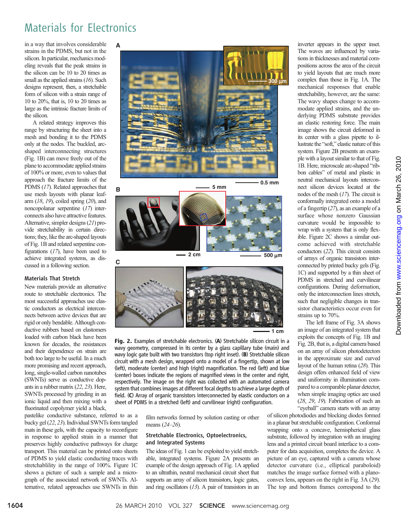# Materials for Electronics

in a way that involves considerable strains in the PDMS, but not in the silicon. In particular, mechanics modeling reveals that the peak strains in the silicon can be 10 to 20 times as small as the applied strains (16). Such designs represent, then, a stretchable form of silicon with a strain range of 10 to 20%, that is, 10 to 20 times as large as the intrinsic fracture limits of the silicon.

A related strategy improves this range by structuring the sheet into a mesh and bonding it to the PDMS only at the nodes. The buckled, arcshaped interconnecting structures (Fig. 1B) can move freely out of the plane to accommodate applied strains of 100% or more, even to values that approach the fracture limits of the PDMS (17). Related approaches that use mesh layouts with planar leafarm  $(18, 19)$ , coiled spring  $(20)$ , and noncopolanar serpentine (17) interconnects also have attractive features. Alternative, simpler designs (21) provide stretchability in certain directions; they, like the arc-shaped layouts of Fig. 1B and related serpentine configurations  $(17)$ , have been used to achieve integrated systems, as discussed in a following section.

#### Materials That Stretch

New materials provide an alternative route to stretchable electronics. The most successful approaches use elastic conductors as electrical interconnects between active devices that are rigid or only bendable. Although conductive rubbers based on elastomers loaded with carbon black have been known for decades, the resistances and their dependence on strain are both too large to be useful. In a much more promising and recent approach, long, single-walled carbon nanotubes (SWNTs) serve as conductive dopants in a rubber matrix (22, 23). Here, SWNTs processed by grinding in an ionic liquid and then mixing with a fluorinated copolymer yield a black,

pastelike conductive substance, referred to as a bucky gel (22, 23). Individual SWNTs form tangled mats in these gels, with the capacity to reconfigure in response to applied strain in a manner that preserves highly conductive pathways for charge transport. This material can be printed onto sheets of PDMS to yield elastic conducting traces with stretchablility in the range of 100%. Figure 1C shows a picture of such a sample and a micrograph of the associated network of SWNTs. Alternative, related approaches use SWNTs in thin



**0.5 mm**





**1 cm**

Fig. 2. Examples of stretchable electronics. (A) Stretchable silicon circuit in a wavy geometry, compressed in its center by a glass capillary tube (main) and wavy logic gate built with two transistors (top right inset). (B) Stretchable silicon circuit with a mesh design, wrapped onto a model of a fingertip, shown at low (left), moderate (center) and high (right) magnification. The red (left) and blue (center) boxes indicate the regions of magnified views in the center and right, respectively. The image on the right was collected with an automated camera system that combines images at different focal depths to achieve a large depth of field. (C) Array of organic transistors interconnected by elastic conductors on a sheet of PDMS in a stretched (left) and curvilinear (right) configuration.

> film networks formed by solution casting or other means (24–26).

#### Stretchable Electronics, Optoelectronics, and Integrated Systems

The ideas of Fig. 1 can be exploited to yield stretchable, integrated systems. Figure 2A presents an example of the design approach of Fig. 1A applied to an ultrathin, neutral mechanical circuit sheet that supports an array of silicon transistors, logic gates, and ring oscillators  $(13)$ . A pair of transistors in an inverter appears in the upper inset. The waves are influenced by variations in thicknesses and material compositions across the area of the circuit to yield layouts that are much more complex than those in Fig. 1A. The mechanical responses that enable stretchability, however, are the same: The wavy shapes change to accommodate applied strains, and the underlying PDMS substrate provides an elastic restoring force. The main image shows the circuit deformed in its center with a glass pipette to illustrate the "soft," elastic nature of this system. Figure 2B presents an example with a layout similar to that of Fig. 1B. Here, microscale arc-shaped "ribbon cables" of metal and plastic in neutral mechanical layouts interconnect silicon devices located at the nodes of the mesh (17). The circuit is conformally integrated onto a model of a fingertip (27), as an example of a surface whose nonzero Gaussian curvature would be impossible to wrap with a system that is only flexible. Figure 2C shows a similar outcome achieved with stretchable conductors (22). This circuit consists of arrays of organic transistors interconnected by printed bucky gels (Fig. 1C) and supported by a thin sheet of PDMS in stretched and curvilinear configurations. During deformation, only the interconnection lines stretch, such that negligible changes in transistor characteristics occur even for strains up to 70%.

The left frame of Fig. 3A shows an image of an integrated system that exploits the concepts of Fig. 1B and Fig. 2B, that is, a digital camera based on an array of silicon photodetectors in the approximate size and curved layout of the human retina (28). This design offers enhanced field of view and uniformity in illumination compared to a comparable planar detector, when simple imaging optics are used (28, 29, 19). Fabrication of such an "eyeball" camera starts with an array

of silicon photodiodes and blocking diodes formed in a planar but stretchable configuration. Conformal wrapping onto a concave, hemispherical glass substrate, followed by integration with an imaging lens and a printed circuit board interface to a computer for data acquisition, completes the device. A picture of an eye, captured with a camera whose detector curvature (i.e., elliptical paraboloid) matches the image surface formed with a planoconvex lens, appears on the right in Fig. 3A (29). The top and bottom frames correspond to the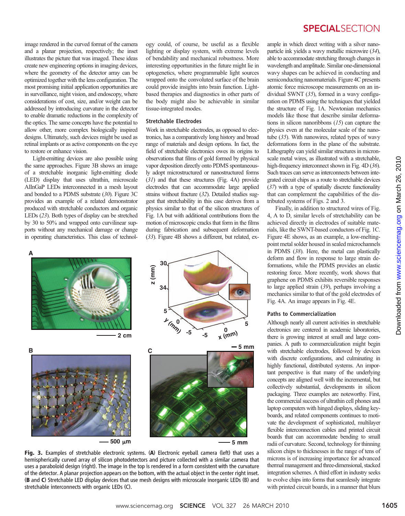image rendered in the curved format of the camera and a planar projection, respectively; the inset illustrates the picture that was imaged. These ideas create new engineering options in imaging devices, where the geometry of the detector array can be optimized together with the lens configuration. The most promising initial application opportunities are in surveillance, night vision, and endoscopy, where considerations of cost, size, and/or weight can be addressed by introducing curvature in the detector to enable dramatic reductions in the complexity of the optics. The same concepts have the potential to allow other, more complex biologically inspired designs. Ultimately, such devices might be used as retinal implants or as active components on the eye to restore or enhance vision.

Light-emitting devices are also possible using the same approaches. Figure 3B shows an image of a stretchable inorganic light-emitting diode (LED) display that uses ultrathin, microscale AlInGaP LEDs interconnected in a mesh layout and bonded to a PDMS substrate (30). Figure 3C provides an example of a related demonstrator produced with stretchable conductors and organic LEDs (23). Both types of display can be stretched by 30 to 50% and wrapped onto curvilinear supports without any mechanical damage or change in operating characteristics. This class of technology could, of course, be useful as a flexible lighting or display system, with extreme levels of bendability and mechanical robustness. More interesting opportunities in the future might lie in optogenetics, where programmable light sources wrapped onto the convoluted surface of the brain could provide insights into brain function. Lightbased therapies and diagnostics in other parts of the body might also be achievable in similar tissue-integrated modes.

#### Stretchable Electrodes

Work in stretchable electrodes, as opposed to electronics, has a comparatively long history and broad range of materials and design options. In fact, the field of stretchable electronics owes its origins to observations that films of gold formed by physical vapor deposition directly onto PDMS spontaneously adopt microstructured or nanostructured forms (31) and that these structures (Fig. 4A) provide electrodes that can accommodate large applied strains without fracture (32). Detailed studies suggest that stretchability in this case derives from a physics similar to that of the silicon structures of Fig. 1A but with additional contributions from the motion of microscopic cracks that form in the films during fabrication and subsequent deformation (33). Figure 4B shows a different, but related, ex-



Fig. 3. Examples of stretchable electronic systems. (A) Electronic eyeball camera (left) that uses a hemispherically curved array of silicon photodetectors and picture collected with a similar camera that uses a paraboloid design (right). The image in the top is rendered in a form consistent with the curvature of the detector. A planar projection appears on the bottom, with the actual object in the center right inset. (B and C) Stretchable LED display devices that use mesh designs with microscale inorganic LEDs (B) and stretchable interconnects with organic LEDs (C).

### **SPECIALSECTION**

ample in which direct writing with a silver nanoparticle ink yields a wavy metallic microwire (34), able to accommodate stretching through changes in wavelength and amplitude. Similar one-dimensional wavy shapes can be achieved in conducting and semiconducting nanomaterials. Figure 4C presents atomic force microscope measurements on an individual SWNT (35), formed in a wavy configuration on PDMS using the techniques that yielded the structure of Fig. 1A. Newtonian mechanics models like those that describe similar deformations in silicon nanoribbons (15) can capture the physics even at the molecular scale of the nanotube (35). With nanowires, related types of wavy deformations form in the plane of the substrate. Lithography can yield similar structures in micronscale metal wires, as illustrated with a stretchable, high-frequency interconnect shown in Fig. 4D (36). Such traces can serve as interconnects between integrated circuit chips as a route to stretchable devices (37) with a type of spatially discrete functionality that can complement the capabilities of the distributed systems of Figs. 2 and 3.

Finally, in addition to structured wires of Fig. 4, A to D, similar levels of stretchability can be achieved directly in electrodes of suitable materials, like the SWNT-based conductors of Fig. 1C. Figure 4E shows, as an example, a low-meltingpoint metal solder housed in sealed microchannels in PDMS (38). Here, the metal can plastically deform and flow in response to large strain deformations, while the PDMS provides an elastic restoring force. More recently, work shows that graphene on PDMS exhibits reversible responses to large applied strain (39), perhaps involving a mechanics similar to that of the gold electrodes of Fig. 4A. An image appears in Fig. 4E.

#### Paths to Commercialization

Although nearly all current activities in stretchable electronics are centered in academic laboratories, there is growing interest at small and large companies. A path to commercialization might begin with stretchable electrodes, followed by devices with discrete configurations, and culminating in highly functional, distributed systems. An important perspective is that many of the underlying concepts are aligned well with the incremental, but collectively substantial, developments in silicon packaging. Three examples are noteworthy. First, the commercial success of ultrathin cell phones and laptop computers with hinged displays, sliding keyboards, and related components continues to motivate the development of sophisticated, multilayer flexible interconnection cables and printed circuit boards that can accommodate bending to small radii of curvature. Second, technology for thinning silicon chips to thicknesses in the range of tens of microns is of increasing importance for advanced thermal management and three-dimensional, stacked integration schemes. A third effort in industry seeks to evolve chips into forms that seamlessly integrate with printed circuit boards, in a manner that blurs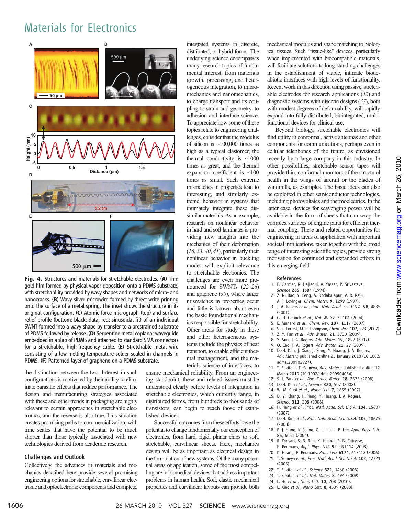## Materials for Electronics



Fig. 4. Structures and materials for stretchable electrodes. (A) Thin gold film formed by physical vapor deposition onto a PDMS substrate, with stretchability provided by wavy shapes and networks of micro- and nanocracks. (B) Wavy silver microwire formed by direct write printing onto the surface of a metal spring. The inset shows the structure in its original configuration. (C) Atomic force micrograph (top) and surface relief profile (bottom; black: data; red: sinusoidal fit) of an individual SWNT formed into a wavy shape by transfer to a prestrained substrate of PDMS followed by release. (D) Serpentine metal coplanar waveguide embedded in a slab of PDMS and attached to standard SMA connectors for a stretchable, high-frequency cable. (E) Stretchable metal wire consisting of a low-melting-temperature solder sealed in channels in PDMS. (F) Patterned layer of graphene on a PDMS substrate.

the distinction between the two. Interest in such configurations is motivated by their ability to eliminate parasitic effects that reduce performance. The design and manufacturing strategies associated with these and other trends in packaging are highly relevant to certain approaches in stretchable electronics, and the reverse is also true. This situation creates promising paths to commercialization, with time scales that have the potential to be much shorter than those typically associated with new technologies derived from academic research.

#### Challenges and Outlook

Collectively, the advances in materials and mechanics described here provide several promising engineering options for stretchable, curvilinear electronic and optoelectronic components and complete,

integrated systems in discrete, distributed, or hybrid forms. The underlying science encompasses many research topics of fundamental interest, from materials growth, processing, and heterogeneous integration, to micromechanics and nanomechanics, to charge transport and its coupling to strain and geometry, to adhesion and interface science. To appreciate how some of these topics relate to engineering challenges, consider that the modulus of silicon is  $~100,000$  times as high as a typical elastomer; the thermal conductivity is  $~1000$ times as great, and the thermal expansion coefficient is ~100 times as small. Such extreme mismatches in properties lead to interesting, and similarly extreme, behavior in systems that intimately integrate these dissimilar materials. As an example, research on nonlinear behavior in hard and soft laminates is providing new insights into the mechanics of their deformation  $(16, 33, 40, 41)$ , particularly their nonlinear behavior in buckling modes, with explicit relevance to stretchable electronics. The challenges are even more pronounced for SWNTs (22–26) and graphene (39), where larger mismatches in properties occur and little is known about even the basic foundational mechanics responsible for stretchability. Other areas for study in these and other heterogeneous systems include the physics of heat transport, to enable efficient thermal management, and the materials science of interfaces, to

ensure mechanical reliability. From an engineering standpoint, these and related issues must be understood clearly before levels of integration in stretchable electronics, which currently range, in distributed forms, from hundreds to thousands of transistors, can begin to reach those of established devices.

Successful outcomes from these efforts have the potential to change fundamentally our conception of electronics, from hard, rigid, planar chips to soft, stretchable, curvilinear sheets. Here, mechanics design will be as important as electrical design in the formulation of new systems. Of the many potential areas of application, some of the most compelling are in biomedical devices that address important problems in human health. Soft, elastic mechanical properties and curvilinear layouts can provide both

mechanical modulus and shape matching to biological tissues. Such "tissue-like" devices, particularly when implemented with biocompatible materials, will facilitate solutions to long-standing challenges in the establishment of viable, intimate bioticabiotic interfaces with high levels of functionality. Recent work in this direction using passive, stretchable electrodes for research applications (42) and diagnostic systems with discrete designs (37), both with modest degrees of deformability, will rapidly expand into fully distributed, biointegrated, multifunctional devices for clinical use.

Beyond biology, stretchable electronics will find utility in conformal, active antennas and other components for communications, perhaps even in cellular telephones of the future, as envisioned recently by a large company in this industry. In other possibilities, stretchable sensor tapes will provide thin, conformal monitors of the structural health in the wings of aircraft or the blades of windmills, as examples. The basic ideas can also be exploited in other semiconductor technologies, including photovoltaics and thermoelectrics. In the latter case, devices for scavenging power will be available in the form of sheets that can wrap the complex surfaces of engine parts for efficient thermal coupling. These and related opportunities for engineering in areas of application with important societal implications, taken together with the broad range of interesting scientific topics, provide strong motivation for continued and expanded efforts in this emerging field.

www.sciencemag.orgon March 26, 2010

Downloaded from www.sciencemag.org on March 26, 2010

Downloaded from

#### References

- 1. F. Garnier, R. Hajlaoui, A. Yassar, P. Srivastava, Science 265, 1684 (1994).
- 2. Z. N. Bao, Y. Feng, A. Dodabalapur, V. R. Raju,
- A. J. Lovinger, Chem. Mater. 9, 1299 (1997). 3. J. A. Rogers et al., Proc. Natl. Acad. Sci. U.S.A. 98, 4835 (2001).
- 4. G. H. Gelinck et al., Nat. Mater. 3, 106 (2004).
- 5. E. Menard et al., Chem. Rev. 107, 1117 (2007).
- 6. S. R. Forrest, M. E. Thompson, Chem. Rev. 107, 923 (2007).
- 7. Z. Y. Fan et al., Adv. Mater. 21, 3730 (2009).
- 8. Y. Sun, J. A. Rogers, Adv. Mater. 19, 1897 (2007).
- 9. Q. Cao, J. A. Rogers, Adv. Mater. 21, 29 (2009).
- 10. D.-H. Kim, J. Xiao, J. Song, Y. Huang, J. A. Rogers, Adv. Mater.; published online 25 January 2010 (10.1002/ adma.200902927).
- 11. T. Sekitani, T. Someya, Adv. Mater.; published online 12 March 2010 (10.1002/adma.200904054).
- 12. S.-I. Park et al., Adv. Funct. Mater. 18, 2673 (2008).
- 13. D.-H. Kim et al., Science 320, 507 (2008).
- 14. W. M. Choi et al., Nano Lett. 7, 1655 (2007).
- 15. D. Y. Khang, H. Jiang, Y. Huang, J. A. Rogers, Science 311, 208 (2006).
- 16. H. Jiang et al., Proc. Natl. Acad. Sci. U.S.A. 104, 15607 (2007).
- 17. D.-H. Kim et al., Proc. Natl. Acad. Sci. U.S.A. 105, 18675 (2008).
- 18. P. J. Hung, K. Jeong, G. L. Liu, L. P. Lee, Appl. Phys. Lett. 85, 6051 (2004).
- 19. R. Dinyari, S. B. Rim, K. Huang, P. B. Catrysse, P. Peumans, Appl. Phys. Lett. 92, 091114 (2008).
- 20. K. Huang, P. Peumans, Proc. SPIE 6174, 617412 (2006).
	- 21. T. Someya et al., Proc. Natl. Acad. Sci. U.S.A. 102, 12321 (2005).
	- 22. T. Sekitani et al., Science 321, 1468 (2008).
	- 23. T. Sekitani et al., Nat. Mater. 8, 494 (2009).
	- 24. L. Hu et al., Nano Lett. 10, 708 (2010).
	- 25. L. Xiao et al., Nano Lett. 8, 4539 (2008).